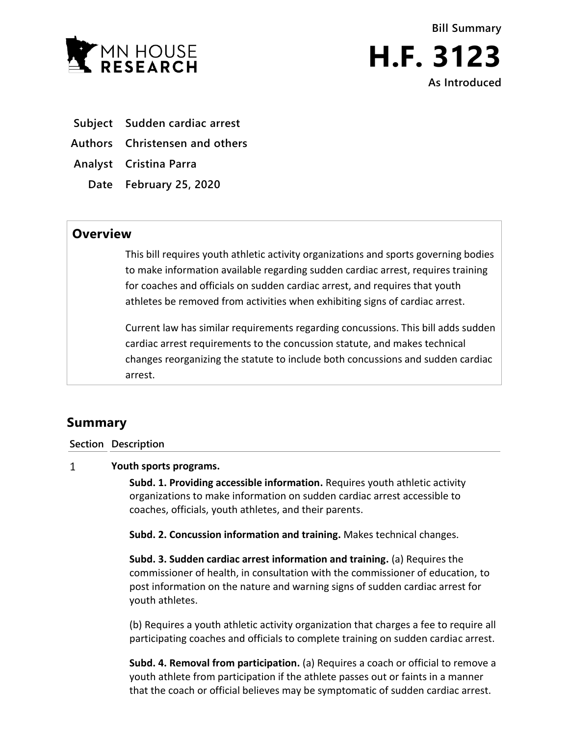



**Subject Sudden cardiac arrest**

**Authors Christensen and others**

**Analyst Cristina Parra**

**Date February 25, 2020**

## **Overview**

This bill requires youth athletic activity organizations and sports governing bodies to make information available regarding sudden cardiac arrest, requires training for coaches and officials on sudden cardiac arrest, and requires that youth athletes be removed from activities when exhibiting signs of cardiac arrest.

Current law has similar requirements regarding concussions. This bill adds sudden cardiac arrest requirements to the concussion statute, and makes technical changes reorganizing the statute to include both concussions and sudden cardiac arrest.

# **Summary**

### **Section Description**

#### $\mathbf{1}$ **Youth sports programs.**

**Subd. 1. Providing accessible information.** Requires youth athletic activity organizations to make information on sudden cardiac arrest accessible to coaches, officials, youth athletes, and their parents.

**Subd. 2. Concussion information and training.** Makes technical changes.

**Subd. 3. Sudden cardiac arrest information and training.** (a) Requires the commissioner of health, in consultation with the commissioner of education, to post information on the nature and warning signs of sudden cardiac arrest for youth athletes.

(b) Requires a youth athletic activity organization that charges a fee to require all participating coaches and officials to complete training on sudden cardiac arrest.

**Subd. 4. Removal from participation.** (a) Requires a coach or official to remove a youth athlete from participation if the athlete passes out or faints in a manner that the coach or official believes may be symptomatic of sudden cardiac arrest.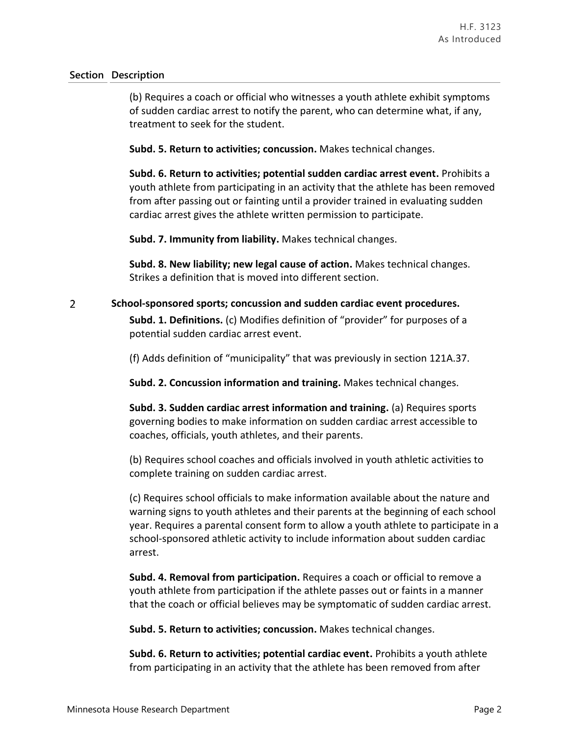### **Section Description**

(b) Requires a coach or official who witnesses a youth athlete exhibit symptoms of sudden cardiac arrest to notify the parent, who can determine what, if any, treatment to seek for the student.

**Subd. 5. Return to activities; concussion.** Makes technical changes.

**Subd. 6. Return to activities; potential sudden cardiac arrest event.** Prohibits a youth athlete from participating in an activity that the athlete has been removed from after passing out or fainting until a provider trained in evaluating sudden cardiac arrest gives the athlete written permission to participate.

**Subd. 7. Immunity from liability.** Makes technical changes.

**Subd. 8. New liability; new legal cause of action.** Makes technical changes. Strikes a definition that is moved into different section.

#### $\overline{2}$ **School-sponsored sports; concussion and sudden cardiac event procedures.**

**Subd. 1. Definitions.** (c) Modifies definition of "provider" for purposes of a potential sudden cardiac arrest event.

(f) Adds definition of "municipality" that was previously in section 121A.37.

**Subd. 2. Concussion information and training.** Makes technical changes.

**Subd. 3. Sudden cardiac arrest information and training.** (a) Requires sports governing bodies to make information on sudden cardiac arrest accessible to coaches, officials, youth athletes, and their parents.

(b) Requires school coaches and officials involved in youth athletic activities to complete training on sudden cardiac arrest.

(c) Requires school officials to make information available about the nature and warning signs to youth athletes and their parents at the beginning of each school year. Requires a parental consent form to allow a youth athlete to participate in a school-sponsored athletic activity to include information about sudden cardiac arrest.

**Subd. 4. Removal from participation.** Requires a coach or official to remove a youth athlete from participation if the athlete passes out or faints in a manner that the coach or official believes may be symptomatic of sudden cardiac arrest.

**Subd. 5. Return to activities; concussion.** Makes technical changes.

**Subd. 6. Return to activities; potential cardiac event.** Prohibits a youth athlete from participating in an activity that the athlete has been removed from after